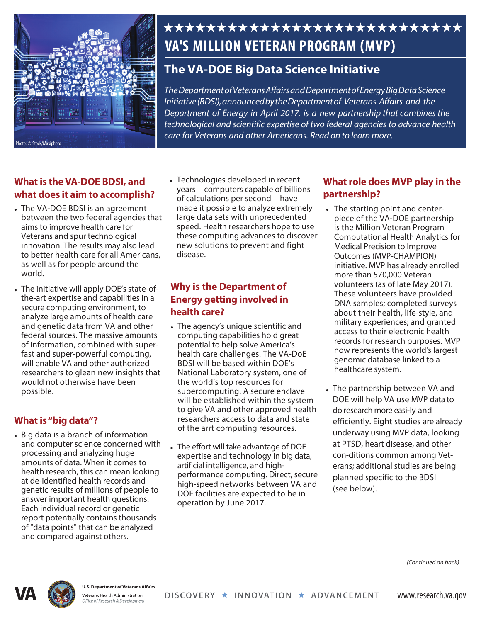

# \*\*\*\*\*\*\*\*\*\*\*\*\*\*\*\*\*\*\*\*\*\*\*\*\*\*\* **VA'S MILLION VETERAN PROGRAM (MVP)**

## **The VA-DOE Big Data Science Initiative**

*The*Department of Veterans Affairs and Department of Energy *Big Data Science Initiative (BDSI), announced by the Department of Veterans Affairs and the Department of Energy in April 2017, is a new partnership that combines the technological and scientific expertise of two federal agencies to advance health care for Veterans and other Americans. Read on to learn more.* 

#### **What is the VA-DOE BDSI, and what does it aim to accomplish?**

- between the two federal agencies that aims to improve health care for innovation. The results may also lead to better health care for all Americans, as well as for people around the • The VA-DOE BDSI is an agreement Veterans and spur technological world.
- federal sources. The massive amounts researchers to glean new insights that would not otherwise have been analyze large amounts of health care of information, combined with superwill enable VA and other authorized • The initiative will apply DOE's state-ofthe-art expertise and capabilities in a secure computing environment, to and genetic data from VA and other fast and super-powerful computing, possible.

#### **What is "big data"?**

 and computer science concerned with processing and analyzing huge amounts of data. When it comes to • Big data is a branch of information health research, this can mean looking at de-identified health records and genetic results of millions of people to answer important health questions. Each individual record or genetic report potentially contains thousands of "data points" that can be analyzed and compared against others.

 years—computers capable of billions of calculations per second—have made it possible to analyze extremely large data sets with unprecedented speed. Health researchers hope to use • Technologies developed in recent these computing advances to discover new solutions to prevent and fight disease.

#### **Why is the Department of Energy getting involved in health care?**

- The agency's unique scientific and BDSI will be based within DOE's National Laboratory system, one of the world's top resources for ional Laboratory system,<br>world's top resources for<br>ercomputing. A secure er<br>be established within the<br>give VA and other approve<br>earchers access to data ar<br>he arrt computing resour<br>effort will take advantage of computing capabilities hold great potential to help solve America's health care challenges. The VA-DoE supercomputing. A secure enclave will be established within the system to give VA and other approved health researchers access to data and state of the arrt computing resources.
- • The effort will take advantage of DOE expertise and technology in big data, artificial intelligence, and high- operation by June 2017. high-speed networks between VA and performance computing. Direct, secure DOE facilities are expected to be in

#### **What role does MVP play in the partnership?**

- DNA samples; completed surveys about their health, life-style, and • The starting point and centerpiece of the VA-DOE partnership is the Million Veteran Program Computational Health Analytics for Medical Precision to Improve Outcomes(MVP-CHAMPION) initiative. MVP has already enrolled more than 570,000 Veteran volunteers (as of late May 2017). These volunteers have provided military experiences; and granted access to their electronic health records for research purposes. MVP now represents the world's largest genomic database linked to a healthcare system.
- $_{\bullet}$  The partnership between VA and efficiently. Eight studies are already planned specific to the BDSI underway using MVP data, looking at PTSD, heart disease, and other DOE will help VA use MVP data to do research more easi-ly and con-ditions common among Veterans; additional studies are being (see below).



**U.S. Department of Veterans Affairs** 

Veterans Health Administration ffice of Research & Developn

DISCOVERY ★ INNOVATION ★ ADVANCEMENT

www.research.va.gov

*(Continued on back)*